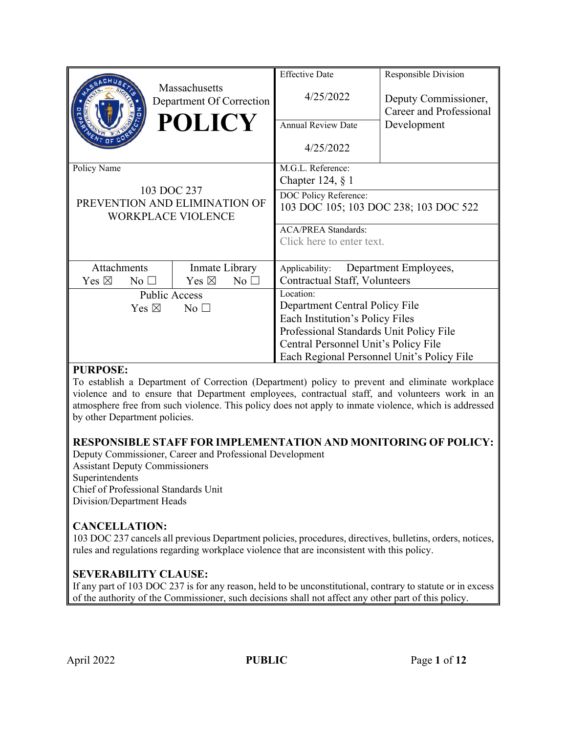|                                    | Massachusetts<br>Department Of Correction<br><b>POLICY</b>                | <b>Effective Date</b><br>4/25/2022<br><b>Annual Review Date</b><br>4/25/2022 | Responsible Division<br>Deputy Commissioner,<br><b>Career and Professional</b><br>Development |
|------------------------------------|---------------------------------------------------------------------------|------------------------------------------------------------------------------|-----------------------------------------------------------------------------------------------|
| Policy Name                        |                                                                           | M.G.L. Reference:<br>Chapter 124, $\S$ 1                                     |                                                                                               |
|                                    | 103 DOC 237<br>PREVENTION AND ELIMINATION OF<br><b>WORKPLACE VIOLENCE</b> | DOC Policy Reference:<br>103 DOC 105; 103 DOC 238; 103 DOC 522               |                                                                                               |
|                                    |                                                                           | <b>ACA/PREA Standards:</b>                                                   |                                                                                               |
|                                    |                                                                           | Click here to enter text.                                                    |                                                                                               |
| Attachments                        | Inmate Library                                                            | Applicability:                                                               | Department Employees,                                                                         |
| Yes $\boxtimes$<br>No <sub>1</sub> | Yes $\boxtimes$<br>No <sub>1</sub>                                        | <b>Contractual Staff, Volunteers</b>                                         |                                                                                               |
| <b>Public Access</b>               |                                                                           | Location:                                                                    |                                                                                               |
| Yes $\boxtimes$<br>No <sub>1</sub> |                                                                           | Department Central Policy File                                               |                                                                                               |
|                                    |                                                                           | Each Institution's Policy Files                                              |                                                                                               |
|                                    |                                                                           | Professional Standards Unit Policy File                                      |                                                                                               |
|                                    |                                                                           | Central Personnel Unit's Policy File                                         |                                                                                               |
|                                    |                                                                           | Each Regional Personnel Unit's Policy File                                   |                                                                                               |

## **PURPOSE:**

To establish a Department of Correction (Department) policy to prevent and eliminate workplace violence and to ensure that Department employees, contractual staff, and volunteers work in an atmosphere free from such violence. This policy does not apply to inmate violence, which is addressed by other Department policies.

## **RESPONSIBLE STAFF FOR IMPLEMENTATION AND MONITORING OF POLICY:**

Deputy Commissioner, Career and Professional Development Assistant Deputy Commissioners Superintendents Chief of Professional Standards Unit Division/Department Heads

## **CANCELLATION:**

103 DOC 237 cancels all previous Department policies, procedures, directives, bulletins, orders, notices, rules and regulations regarding workplace violence that are inconsistent with this policy.

## **SEVERABILITY CLAUSE:**

If any part of 103 DOC 237 is for any reason, held to be unconstitutional, contrary to statute or in excess of the authority of the Commissioner, such decisions shall not affect any other part of this policy.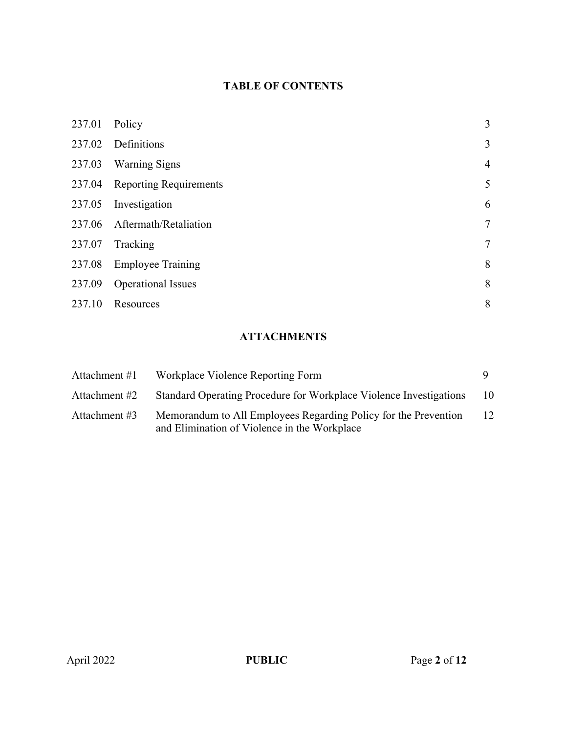# **TABLE OF CONTENTS**

| 237.01 | Policy                        | 3              |
|--------|-------------------------------|----------------|
| 237.02 | Definitions                   | $\overline{3}$ |
| 237.03 | <b>Warning Signs</b>          | $\overline{4}$ |
|        | 237.04 Reporting Requirements | 5              |
| 237.05 | Investigation                 | 6              |
|        | 237.06 Aftermath/Retaliation  | $\overline{7}$ |
| 237.07 | Tracking                      | $\overline{7}$ |
| 237.08 | <b>Employee Training</b>      | 8              |
| 237.09 | <b>Operational Issues</b>     | 8              |
| 237.10 | Resources                     | 8              |

## **ATTACHMENTS**

| Attachment #1 | Workplace Violence Reporting Form                                                                               |    |
|---------------|-----------------------------------------------------------------------------------------------------------------|----|
| Attachment #2 | Standard Operating Procedure for Workplace Violence Investigations                                              | 10 |
| Attachment #3 | Memorandum to All Employees Regarding Policy for the Prevention<br>and Elimination of Violence in the Workplace | 12 |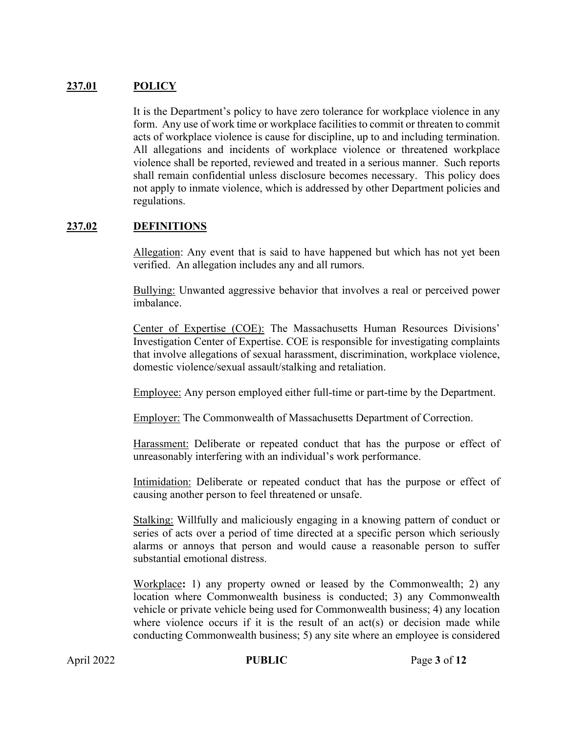#### **237.01 POLICY**

It is the Department's policy to have zero tolerance for workplace violence in any form. Any use of work time or workplace facilities to commit or threaten to commit acts of workplace violence is cause for discipline, up to and including termination. All allegations and incidents of workplace violence or threatened workplace violence shall be reported, reviewed and treated in a serious manner. Such reports shall remain confidential unless disclosure becomes necessary. This policy does not apply to inmate violence, which is addressed by other Department policies and regulations.

#### **237.02 DEFINITIONS**

Allegation: Any event that is said to have happened but which has not yet been verified. An allegation includes any and all rumors.

Bullying: Unwanted aggressive behavior that involves a real or perceived power imbalance.

Center of Expertise (COE): The Massachusetts Human Resources Divisions' Investigation Center of Expertise. COE is responsible for investigating complaints that involve allegations of sexual harassment, discrimination, workplace violence, domestic violence/sexual assault/stalking and retaliation.

Employee: Any person employed either full-time or part-time by the Department.

Employer: The Commonwealth of Massachusetts Department of Correction.

Harassment: Deliberate or repeated conduct that has the purpose or effect of unreasonably interfering with an individual's work performance.

Intimidation: Deliberate or repeated conduct that has the purpose or effect of causing another person to feel threatened or unsafe.

Stalking: Willfully and maliciously engaging in a knowing pattern of conduct or series of acts over a period of time directed at a specific person which seriously alarms or annoys that person and would cause a reasonable person to suffer substantial emotional distress.

Workplace**:** 1) any property owned or leased by the Commonwealth; 2) any location where Commonwealth business is conducted; 3) any Commonwealth vehicle or private vehicle being used for Commonwealth business; 4) any location where violence occurs if it is the result of an  $act(s)$  or decision made while conducting Commonwealth business; 5) any site where an employee is considered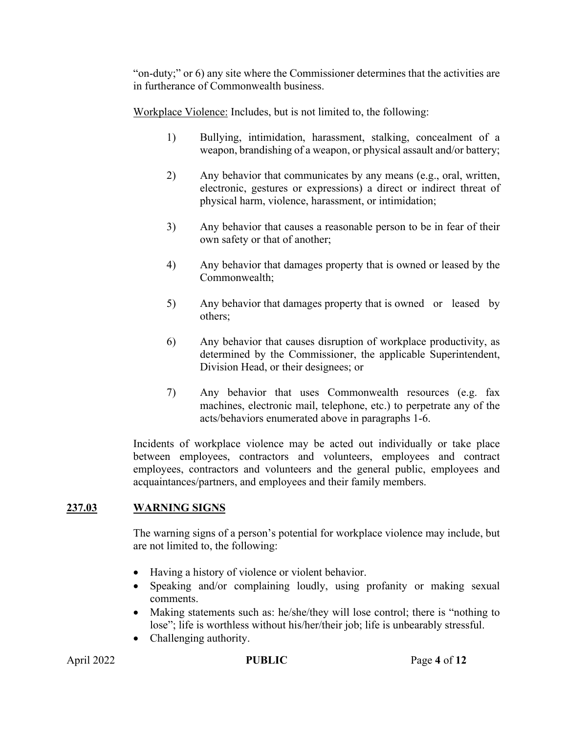"on-duty;" or 6) any site where the Commissioner determines that the activities are in furtherance of Commonwealth business.

Workplace Violence: Includes, but is not limited to, the following:

- 1) Bullying, intimidation, harassment, stalking, concealment of a weapon, brandishing of a weapon, or physical assault and/or battery;
- 2) Any behavior that communicates by any means (e.g., oral, written, electronic, gestures or expressions) a direct or indirect threat of physical harm, violence, harassment, or intimidation;
- 3) Any behavior that causes a reasonable person to be in fear of their own safety or that of another;
- 4) Any behavior that damages property that is owned or leased by the Commonwealth;
- 5) Any behavior that damages property that is owned or leased by others;
- 6) Any behavior that causes disruption of workplace productivity, as determined by the Commissioner, the applicable Superintendent, Division Head, or their designees; or
- 7) Any behavior that uses Commonwealth resources (e.g. fax machines, electronic mail, telephone, etc.) to perpetrate any of the acts/behaviors enumerated above in paragraphs 1-6.

Incidents of workplace violence may be acted out individually or take place between employees, contractors and volunteers, employees and contract employees, contractors and volunteers and the general public, employees and acquaintances/partners, and employees and their family members.

## **237.03 WARNING SIGNS**

The warning signs of a person's potential for workplace violence may include, but are not limited to, the following:

- Having a history of violence or violent behavior.
- Speaking and/or complaining loudly, using profanity or making sexual comments.
- Making statements such as: he/she/they will lose control; there is "nothing to lose"; life is worthless without his/her/their job; life is unbearably stressful.
- Challenging authority.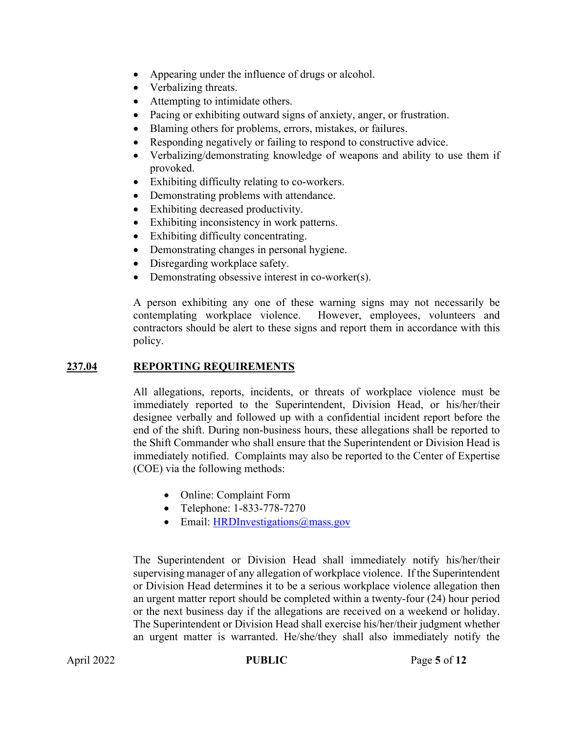- Appearing under the influence of drugs or alcohol.
- Verbalizing threats.
- Attempting to intimidate others.
- Pacing or exhibiting outward signs of anxiety, anger, or frustration.
- Blaming others for problems, errors, mistakes, or failures.
- Responding negatively or failing to respond to constructive advice.
- Verbalizing/demonstrating knowledge of weapons and ability to use them if provoked.
- Exhibiting difficulty relating to co-workers.
- Demonstrating problems with attendance.
- Exhibiting decreased productivity.
- Exhibiting inconsistency in work patterns.
- Exhibiting difficulty concentrating.
- Demonstrating changes in personal hygiene.
- Disregarding workplace safety.
- Demonstrating obsessive interest in co-worker(s).

A person exhibiting any one of these warning signs may not necessarily be contemplating workplace violence. However, employees, volunteers and contractors should be alert to these signs and report them in accordance with this policy.

#### **237.04 REPORTING REQUIREMENTS**

All allegations, reports, incidents, or threats of workplace violence must be immediately reported to the Superintendent, Division Head, or his/her/their designee verbally and followed up with a confidential incident report before the end of the shift. During non-business hours, these allegations shall be reported to the Shift Commander who shall ensure that the Superintendent or Division Head is immediately notified. Complaints may also be reported to the Center of Expertise (COE) via the following methods:

- Online: Complaint Form
- Telephone: 1-833-778-7270
- Email: HRDInvestigations@mass.gov

The Superintendent or Division Head shall immediately notify his/her/their supervising manager of any allegation of workplace violence. If the Superintendent or Division Head determines it to be a serious workplace violence allegation then an urgent matter report should be completed within a twenty-four (24) hour period or the next business day if the allegations are received on a weekend or holiday. The Superintendent or Division Head shall exercise his/her/their judgment whether an urgent matter is warranted. He/she/they shall also immediately notify the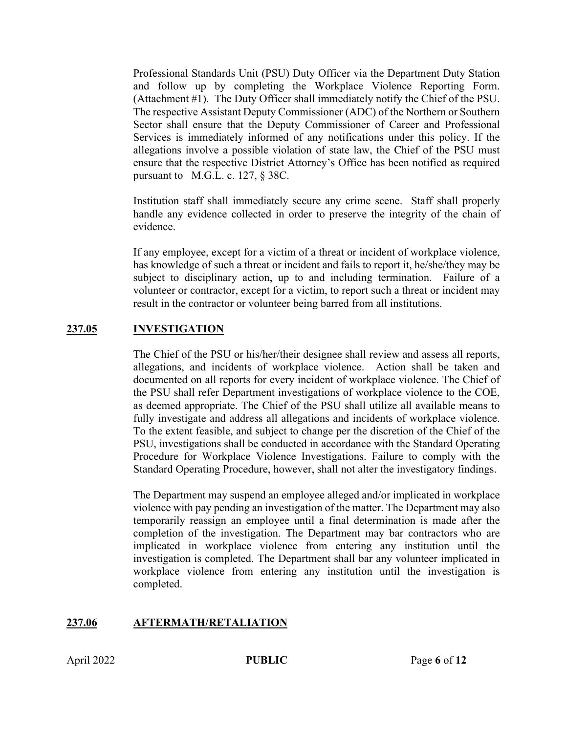Professional Standards Unit (PSU) Duty Officer via the Department Duty Station and follow up by completing the Workplace Violence Reporting Form. (Attachment #1). The Duty Officer shall immediately notify the Chief of the PSU. The respective Assistant Deputy Commissioner (ADC) of the Northern or Southern Sector shall ensure that the Deputy Commissioner of Career and Professional Services is immediately informed of any notifications under this policy. If the allegations involve a possible violation of state law, the Chief of the PSU must ensure that the respective District Attorney's Office has been notified as required pursuant to M.G.L. c. 127, § 38C.

Institution staff shall immediately secure any crime scene. Staff shall properly handle any evidence collected in order to preserve the integrity of the chain of evidence.

If any employee, except for a victim of a threat or incident of workplace violence, has knowledge of such a threat or incident and fails to report it, he/she/they may be subject to disciplinary action, up to and including termination. Failure of a volunteer or contractor, except for a victim, to report such a threat or incident may result in the contractor or volunteer being barred from all institutions.

## **237.05 INVESTIGATION**

The Chief of the PSU or his/her/their designee shall review and assess all reports, allegations, and incidents of workplace violence. Action shall be taken and documented on all reports for every incident of workplace violence. The Chief of the PSU shall refer Department investigations of workplace violence to the COE, as deemed appropriate. The Chief of the PSU shall utilize all available means to fully investigate and address all allegations and incidents of workplace violence. To the extent feasible, and subject to change per the discretion of the Chief of the PSU, investigations shall be conducted in accordance with the Standard Operating Procedure for Workplace Violence Investigations. Failure to comply with the Standard Operating Procedure, however, shall not alter the investigatory findings.

The Department may suspend an employee alleged and/or implicated in workplace violence with pay pending an investigation of the matter. The Department may also temporarily reassign an employee until a final determination is made after the completion of the investigation. The Department may bar contractors who are implicated in workplace violence from entering any institution until the investigation is completed. The Department shall bar any volunteer implicated in workplace violence from entering any institution until the investigation is completed.

## **237.06 AFTERMATH/RETALIATION**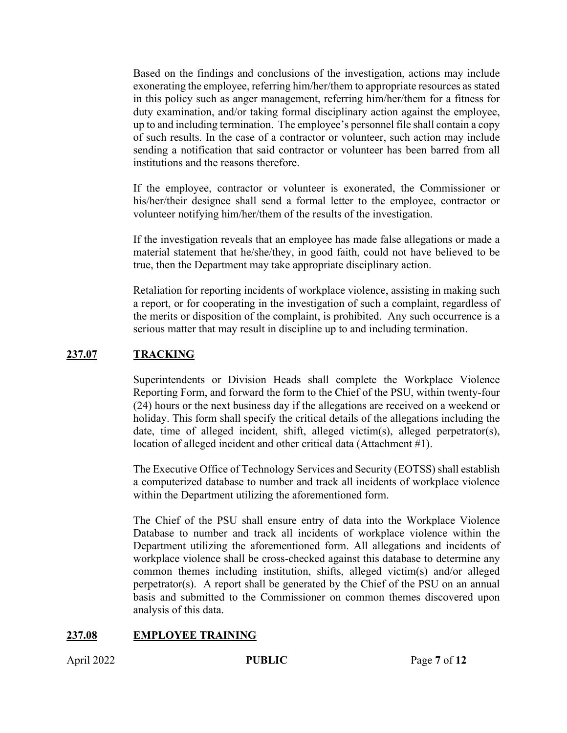Based on the findings and conclusions of the investigation, actions may include exonerating the employee, referring him/her/them to appropriate resources as stated in this policy such as anger management, referring him/her/them for a fitness for duty examination, and/or taking formal disciplinary action against the employee, up to and including termination. The employee's personnel file shall contain a copy of such results. In the case of a contractor or volunteer, such action may include sending a notification that said contractor or volunteer has been barred from all institutions and the reasons therefore.

If the employee, contractor or volunteer is exonerated, the Commissioner or his/her/their designee shall send a formal letter to the employee, contractor or volunteer notifying him/her/them of the results of the investigation.

If the investigation reveals that an employee has made false allegations or made a material statement that he/she/they, in good faith, could not have believed to be true, then the Department may take appropriate disciplinary action.

Retaliation for reporting incidents of workplace violence, assisting in making such a report, or for cooperating in the investigation of such a complaint, regardless of the merits or disposition of the complaint, is prohibited. Any such occurrence is a serious matter that may result in discipline up to and including termination.

## **237.07 TRACKING**

Superintendents or Division Heads shall complete the Workplace Violence Reporting Form, and forward the form to the Chief of the PSU, within twenty-four (24) hours or the next business day if the allegations are received on a weekend or holiday. This form shall specify the critical details of the allegations including the date, time of alleged incident, shift, alleged victim(s), alleged perpetrator(s), location of alleged incident and other critical data (Attachment #1).

The Executive Office of Technology Services and Security (EOTSS) shall establish a computerized database to number and track all incidents of workplace violence within the Department utilizing the aforementioned form.

The Chief of the PSU shall ensure entry of data into the Workplace Violence Database to number and track all incidents of workplace violence within the Department utilizing the aforementioned form. All allegations and incidents of workplace violence shall be cross-checked against this database to determine any common themes including institution, shifts, alleged victim(s) and/or alleged perpetrator(s). A report shall be generated by the Chief of the PSU on an annual basis and submitted to the Commissioner on common themes discovered upon analysis of this data.

## **237.08 EMPLOYEE TRAINING**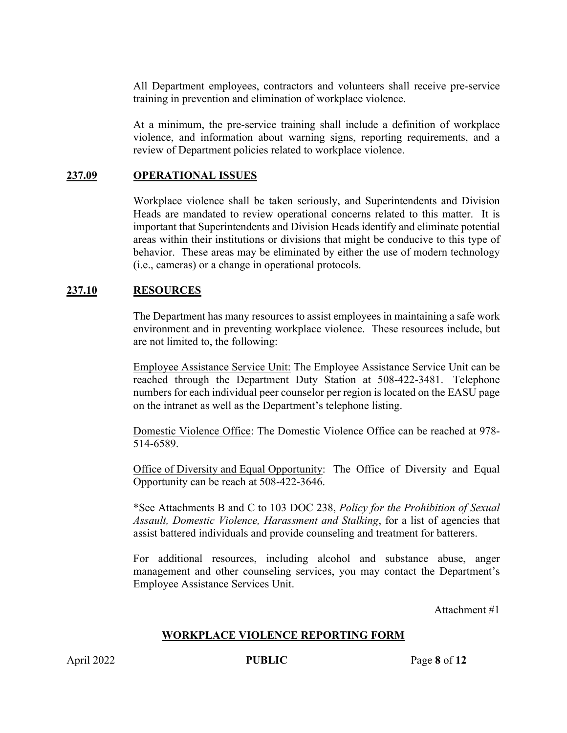All Department employees, contractors and volunteers shall receive pre-service training in prevention and elimination of workplace violence.

At a minimum, the pre-service training shall include a definition of workplace violence, and information about warning signs, reporting requirements, and a review of Department policies related to workplace violence.

#### **237.09 OPERATIONAL ISSUES**

Workplace violence shall be taken seriously, and Superintendents and Division Heads are mandated to review operational concerns related to this matter. It is important that Superintendents and Division Heads identify and eliminate potential areas within their institutions or divisions that might be conducive to this type of behavior. These areas may be eliminated by either the use of modern technology (i.e., cameras) or a change in operational protocols.

#### **237.10 RESOURCES**

The Department has many resources to assist employees in maintaining a safe work environment and in preventing workplace violence. These resources include, but are not limited to, the following:

Employee Assistance Service Unit: The Employee Assistance Service Unit can be reached through the Department Duty Station at 508-422-3481. Telephone numbers for each individual peer counselor per region is located on the EASU page on the intranet as well as the Department's telephone listing.

Domestic Violence Office: The Domestic Violence Office can be reached at 978- 514-6589.

Office of Diversity and Equal Opportunity: The Office of Diversity and Equal Opportunity can be reach at 508-422-3646.

\*See Attachments B and C to 103 DOC 238, *Policy for the Prohibition of Sexual Assault, Domestic Violence, Harassment and Stalking*, for a list of agencies that assist battered individuals and provide counseling and treatment for batterers.

For additional resources, including alcohol and substance abuse, anger management and other counseling services, you may contact the Department's Employee Assistance Services Unit.

Attachment #1

#### **WORKPLACE VIOLENCE REPORTING FORM**

April 2022 **PUBLIC** Page 8 of 12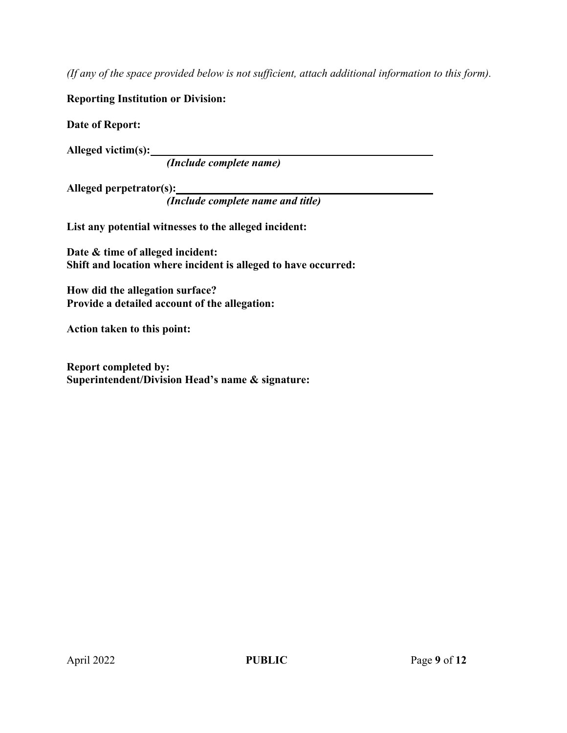*(If any of the space provided below is not sufficient, attach additional information to this form).* 

## **Reporting Institution or Division:**

**Date of Report:** 

**Alleged victim(s):** 

*(Include complete name)*

**Alleged perpetrator(s):** 

*(Include complete name and title)*

**List any potential witnesses to the alleged incident:**

**Date & time of alleged incident: Shift and location where incident is alleged to have occurred:**

**How did the allegation surface? Provide a detailed account of the allegation:**

**Action taken to this point:** 

**Report completed by: Superintendent/Division Head's name & signature:**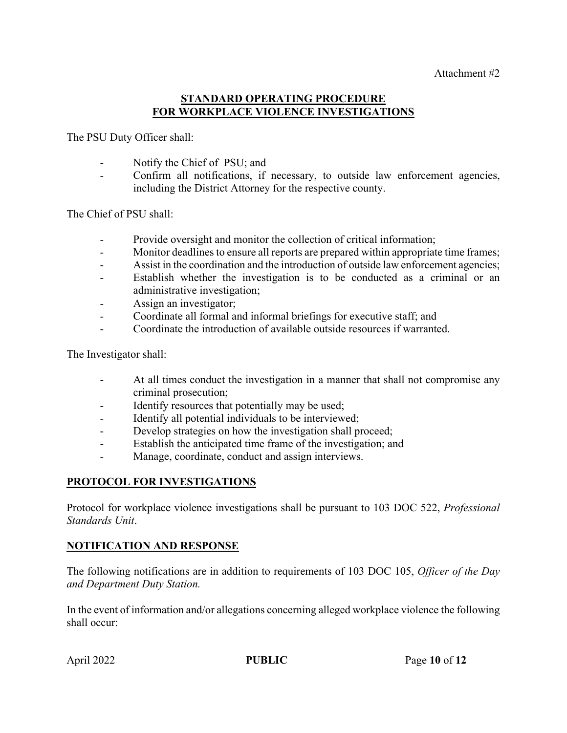#### **STANDARD OPERATING PROCEDURE FOR WORKPLACE VIOLENCE INVESTIGATIONS**

The PSU Duty Officer shall:

- Notify the Chief of PSU; and
- Confirm all notifications, if necessary, to outside law enforcement agencies, including the District Attorney for the respective county.

The Chief of PSU shall:

- Provide oversight and monitor the collection of critical information;
- Monitor deadlines to ensure all reports are prepared within appropriate time frames;
- Assist in the coordination and the introduction of outside law enforcement agencies;
- Establish whether the investigation is to be conducted as a criminal or an administrative investigation;
- Assign an investigator;
- Coordinate all formal and informal briefings for executive staff; and
- Coordinate the introduction of available outside resources if warranted.

The Investigator shall:

- At all times conduct the investigation in a manner that shall not compromise any criminal prosecution;
- Identify resources that potentially may be used;
- Identify all potential individuals to be interviewed;
- Develop strategies on how the investigation shall proceed;
- Establish the anticipated time frame of the investigation; and
- Manage, coordinate, conduct and assign interviews.

#### **PROTOCOL FOR INVESTIGATIONS**

Protocol for workplace violence investigations shall be pursuant to 103 DOC 522, *Professional Standards Unit*.

#### **NOTIFICATION AND RESPONSE**

The following notifications are in addition to requirements of 103 DOC 105, *Officer of the Day and Department Duty Station.* 

In the event of information and/or allegations concerning alleged workplace violence the following shall occur: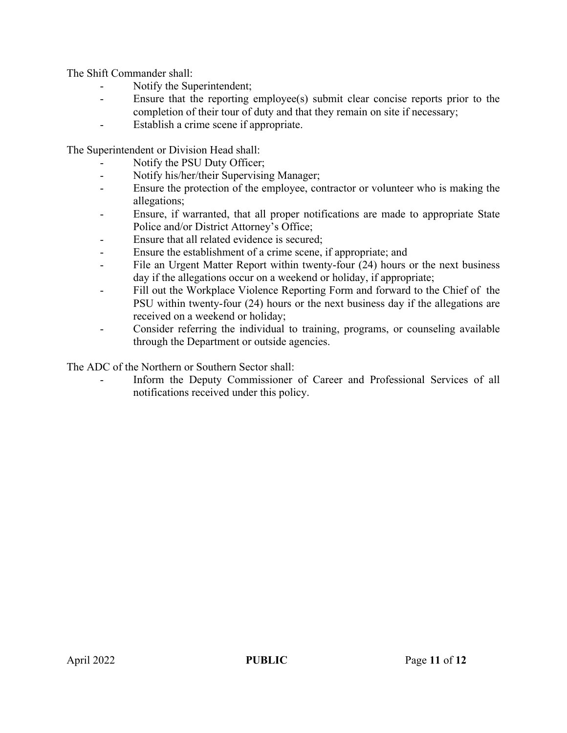The Shift Commander shall:

- Notify the Superintendent;
- Ensure that the reporting employee(s) submit clear concise reports prior to the completion of their tour of duty and that they remain on site if necessary;
- Establish a crime scene if appropriate.

The Superintendent or Division Head shall:

- Notify the PSU Duty Officer;
- Notify his/her/their Supervising Manager;
- Ensure the protection of the employee, contractor or volunteer who is making the allegations;
- Ensure, if warranted, that all proper notifications are made to appropriate State Police and/or District Attorney's Office;
- Ensure that all related evidence is secured;
- Ensure the establishment of a crime scene, if appropriate; and
- File an Urgent Matter Report within twenty-four (24) hours or the next business day if the allegations occur on a weekend or holiday, if appropriate;
- Fill out the Workplace Violence Reporting Form and forward to the Chief of the PSU within twenty-four (24) hours or the next business day if the allegations are received on a weekend or holiday;
- Consider referring the individual to training, programs, or counseling available through the Department or outside agencies.

The ADC of the Northern or Southern Sector shall:

Inform the Deputy Commissioner of Career and Professional Services of all notifications received under this policy.